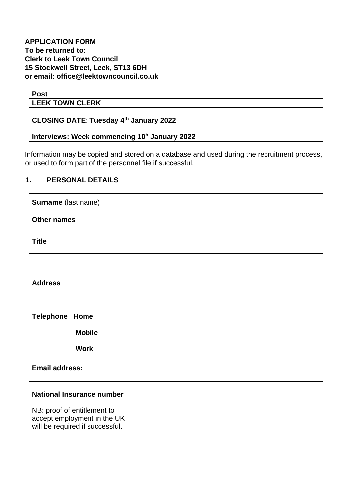#### **Post**

#### **LEEK TOWN CLERK**

#### **CLOSING DATE**: **Tuesday 4 th January 2022**

## **Interviews: Week commencing 10<sup>h</sup> January 2022**

Information may be copied and stored on a database and used during the recruitment process, or used to form part of the personnel file if successful.

#### **1. PERSONAL DETAILS**

| Surname (last name)                                                                           |  |
|-----------------------------------------------------------------------------------------------|--|
| <b>Other names</b>                                                                            |  |
| <b>Title</b>                                                                                  |  |
| <b>Address</b>                                                                                |  |
| <b>Telephone Home</b>                                                                         |  |
| <b>Mobile</b>                                                                                 |  |
| <b>Work</b>                                                                                   |  |
| <b>Email address:</b>                                                                         |  |
| <b>National Insurance number</b>                                                              |  |
| NB: proof of entitlement to<br>accept employment in the UK<br>will be required if successful. |  |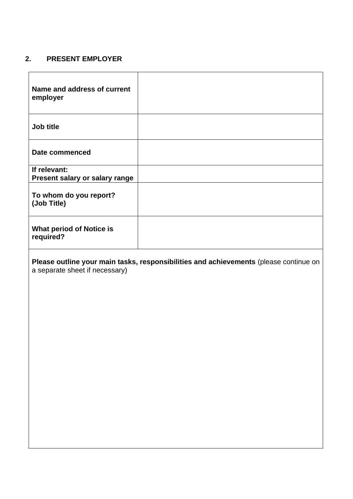### **2. PRESENT EMPLOYER**

| Name and address of current<br>employer        |  |
|------------------------------------------------|--|
| Job title                                      |  |
| Date commenced                                 |  |
| If relevant:<br>Present salary or salary range |  |
| To whom do you report?<br>(Job Title)          |  |
| <b>What period of Notice is</b><br>required?   |  |

**Please outline your main tasks, responsibilities and achievements** (please continue on a separate sheet if necessary)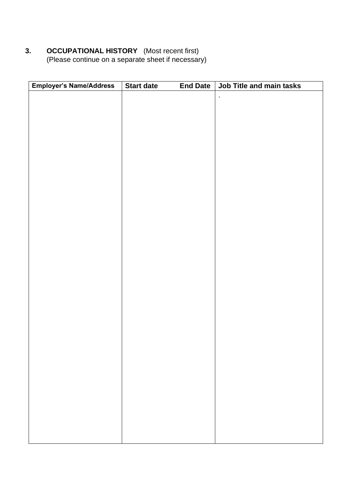#### **3. OCCUPATIONAL HISTORY** (Most recent first) (Please continue on a separate sheet if necessary)

| Employer's Name/Address | Start date | <b>End Date</b> | Job Title and main tasks |
|-------------------------|------------|-----------------|--------------------------|
|                         |            |                 | $\ddot{\phantom{0}}$     |
|                         |            |                 |                          |
|                         |            |                 |                          |
|                         |            |                 |                          |
|                         |            |                 |                          |
|                         |            |                 |                          |
|                         |            |                 |                          |
|                         |            |                 |                          |
|                         |            |                 |                          |
|                         |            |                 |                          |
|                         |            |                 |                          |
|                         |            |                 |                          |
|                         |            |                 |                          |
|                         |            |                 |                          |
|                         |            |                 |                          |
|                         |            |                 |                          |
|                         |            |                 |                          |
|                         |            |                 |                          |
|                         |            |                 |                          |
|                         |            |                 |                          |
|                         |            |                 |                          |
|                         |            |                 |                          |
|                         |            |                 |                          |
|                         |            |                 |                          |
|                         |            |                 |                          |
|                         |            |                 |                          |
|                         |            |                 |                          |
|                         |            |                 |                          |
|                         |            |                 |                          |
|                         |            |                 |                          |
|                         |            |                 |                          |
|                         |            |                 |                          |
|                         |            |                 |                          |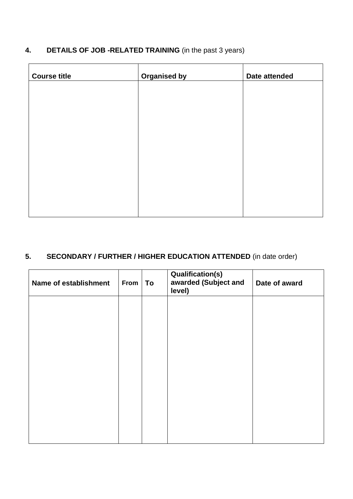| <b>DETAILS OF JOB -RELATED TRAINING</b> (in the past 3 years) |  |
|---------------------------------------------------------------|--|
|                                                               |  |

| <b>Organised by</b> | Date attended |
|---------------------|---------------|
|                     |               |
|                     |               |
|                     |               |
|                     |               |
|                     |               |
|                     |               |
|                     |               |
|                     |               |
|                     |               |

# **5. SECONDARY / FURTHER / HIGHER EDUCATION ATTENDED** (in date order)

| Name of establishment | From | To | <b>Qualification(s)</b><br>awarded (Subject and<br>level) | Date of award |
|-----------------------|------|----|-----------------------------------------------------------|---------------|
|                       |      |    |                                                           |               |
|                       |      |    |                                                           |               |
|                       |      |    |                                                           |               |
|                       |      |    |                                                           |               |
|                       |      |    |                                                           |               |
|                       |      |    |                                                           |               |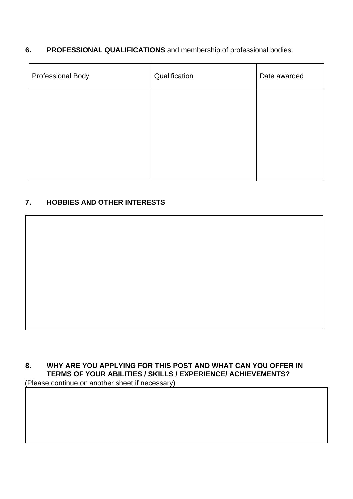### **6. PROFESSIONAL QUALIFICATIONS** and membership of professional bodies.

| Professional Body | Qualification | Date awarded |
|-------------------|---------------|--------------|
|                   |               |              |
|                   |               |              |
|                   |               |              |
|                   |               |              |

### **7. HOBBIES AND OTHER INTERESTS**

# **8. WHY ARE YOU APPLYING FOR THIS POST AND WHAT CAN YOU OFFER IN TERMS OF YOUR ABILITIES / SKILLS / EXPERIENCE/ ACHIEVEMENTS?**

(Please continue on another sheet if necessary)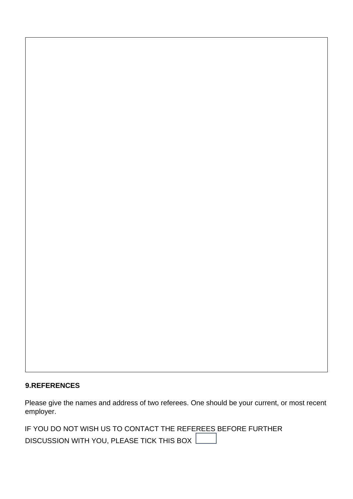#### **9.REFERENCES**

Please give the names and address of two referees. One should be your current, or most recent employer.

IF YOU DO NOT WISH US TO CONTACT THE REFEREES BEFORE FURTHER

DISCUSSION WITH YOU, PLEASE TICK THIS BOX